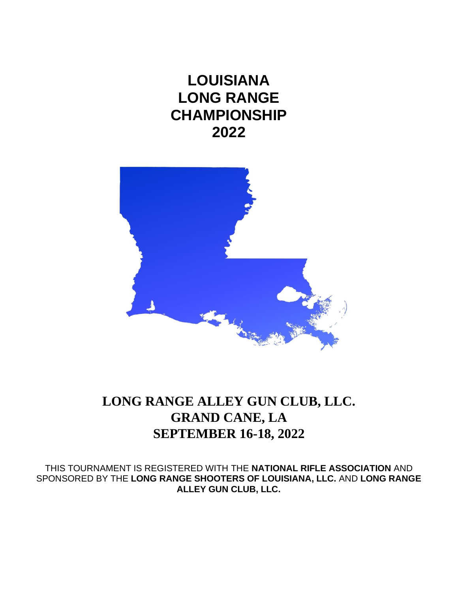**LOUISIANA LONG RANGE CHAMPIONSHIP 2022**



# **LONG RANGE ALLEY GUN CLUB, LLC. GRAND CANE, LA SEPTEMBER 16-18, 2022**

THIS TOURNAMENT IS REGISTERED WITH THE **NATIONAL RIFLE ASSOCIATION** AND SPONSORED BY THE **LONG RANGE SHOOTERS OF LOUISIANA, LLC.** AND **LONG RANGE ALLEY GUN CLUB, LLC.**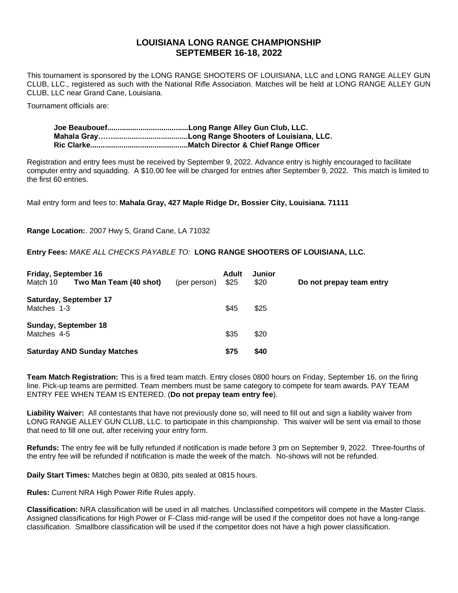### **LOUISIANA LONG RANGE CHAMPIONSHIP SEPTEMBER 16-18, 2022**

This tournament is sponsored by the LONG RANGE SHOOTERS OF LOUISIANA, LLC and LONG RANGE ALLEY GUN CLUB, LLC., registered as such with the National Rifle Association. Matches will be held at LONG RANGE ALLEY GUN CLUB, LLC near Grand Cane, Louisiana.

Tournament officials are:

Registration and entry fees must be received by September 9, 2022. Advance entry is highly encouraged to facilitate computer entry and squadding. A \$10.00 fee will be charged for entries after September 9, 2022. This match is limited to the first 60 entries.

Mail entry form and fees to: **Mahala Gray, 427 Maple Ridge Dr, Bossier City, Louisiana. 71111**

**Range Location:**. 2007 Hwy 5, Grand Cane, LA 71032

**Entry Fees:** *MAKE ALL CHECKS PAYABLE TO:* **LONG RANGE SHOOTERS OF LOUISIANA, LLC.**

| Friday, September 16 |                                    |              | Adult | Junior |                          |
|----------------------|------------------------------------|--------------|-------|--------|--------------------------|
| Match 10             | Two Man Team (40 shot)             | (per person) | \$25  | \$20   | Do not prepay team entry |
|                      | <b>Saturday, September 17</b>      |              |       |        |                          |
| Matches 1-3          |                                    |              | \$45  | \$25   |                          |
|                      | Sunday, September 18               |              |       |        |                          |
| Matches 4-5          |                                    |              | \$35  | \$20   |                          |
|                      | <b>Saturday AND Sunday Matches</b> |              | \$75  | \$40   |                          |

**Team Match Registration:** This is a fired team match. Entry closes 0800 hours on Friday, September 16, on the firing line. Pick-up teams are permitted. Team members must be same category to compete for team awards. PAY TEAM ENTRY FEE WHEN TEAM IS ENTERED. (**Do not prepay team entry fee**).

**Liability Waiver:** All contestants that have not previously done so, will need to fill out and sign a liability waiver from LONG RANGE ALLEY GUN CLUB, LLC. to participate in this championship. This waiver will be sent via email to those that need to fill one out, after receiving your entry form.

**Refunds:** The entry fee will be fully refunded if notification is made before 3 pm on September 9, 2022. Three-fourths of the entry fee will be refunded if notification is made the week of the match. No-shows will not be refunded.

**Daily Start Times:** Matches begin at 0830, pits sealed at 0815 hours.

**Rules:** Current NRA High Power Rifle Rules apply.

**Classification:** NRA classification will be used in all matches. Unclassified competitors will compete in the Master Class. Assigned classifications for High Power or F-Class mid-range will be used if the competitor does not have a long-range classification. Smallbore classification will be used if the competitor does not have a high power classification.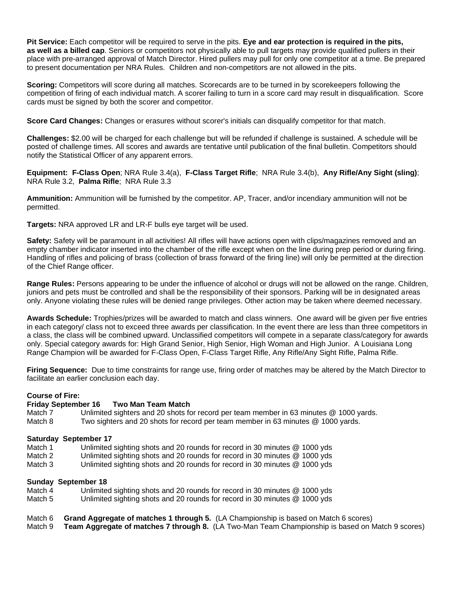**Pit Service:** Each competitor will be required to serve in the pits. **Eye and ear protection is required in the pits, as well as a billed cap**. Seniors or competitors not physically able to pull targets may provide qualified pullers in their place with pre-arranged approval of Match Director. Hired pullers may pull for only one competitor at a time. Be prepared to present documentation per NRA Rules. Children and non-competitors are not allowed in the pits.

**Scoring:** Competitors will score during all matches. Scorecards are to be turned in by scorekeepers following the competition of firing of each individual match. A scorer failing to turn in a score card may result in disqualification. Score cards must be signed by both the scorer and competitor.

**Score Card Changes:** Changes or erasures without scorer's initials can disqualify competitor for that match.

**Challenges:** \$2.00 will be charged for each challenge but will be refunded if challenge is sustained. A schedule will be posted of challenge times. All scores and awards are tentative until publication of the final bulletin. Competitors should notify the Statistical Officer of any apparent errors.

**Equipment: F-Class Open**; NRA Rule 3.4(a), **F-Class Target Rifle**; NRA Rule 3.4(b), **Any Rifle/Any Sight (sling)**; NRA Rule 3.2, **Palma Rifle**; NRA Rule 3.3

**Ammunition:** Ammunition will be furnished by the competitor. AP, Tracer, and/or incendiary ammunition will not be permitted.

**Targets:** NRA approved LR and LR-F bulls eye target will be used.

**Safety:** Safety will be paramount in all activities! All rifles will have actions open with clips/magazines removed and an empty chamber indicator inserted into the chamber of the rifle except when on the line during prep period or during firing. Handling of rifles and policing of brass (collection of brass forward of the firing line) will only be permitted at the direction of the Chief Range officer.

**Range Rules:** Persons appearing to be under the influence of alcohol or drugs will not be allowed on the range. Children, juniors and pets must be controlled and shall be the responsibility of their sponsors. Parking will be in designated areas only. Anyone violating these rules will be denied range privileges. Other action may be taken where deemed necessary.

**Awards Schedule:** Trophies/prizes will be awarded to match and class winners. One award will be given per five entries in each category/ class not to exceed three awards per classification. In the event there are less than three competitors in a class, the class will be combined upward. Unclassified competitors will compete in a separate class/category for awards only. Special category awards for: High Grand Senior, High Senior, High Woman and High Junior. A Louisiana Long Range Champion will be awarded for F-Class Open, F-Class Target Rifle, Any Rifle/Any Sight Rifle, Palma Rifle.

**Firing Sequence:** Due to time constraints for range use, firing order of matches may be altered by the Match Director to facilitate an earlier conclusion each day.

#### **Course of Fire:**

#### **Friday September 16 Two Man Team Match**

Match 7 Unlimited sighters and 20 shots for record per team member in 63 minutes @ 1000 yards.

Match 8 Two sighters and 20 shots for record per team member in 63 minutes @ 1000 yards.

#### **Saturday September 17**

- Match 1 Unlimited sighting shots and 20 rounds for record in 30 minutes @ 1000 yds
- Match 2 Unlimited sighting shots and 20 rounds for record in 30 minutes @ 1000 yds
- Match 3 Unlimited sighting shots and 20 rounds for record in 30 minutes @ 1000 yds

#### **Sunday September 18**

- Match 4 Unlimited sighting shots and 20 rounds for record in 30 minutes @ 1000 yds
- Match 5 Unlimited sighting shots and 20 rounds for record in 30 minutes @ 1000 yds
- Match 6 **Grand Aggregate of matches 1 through 5.** (LA Championship is based on Match 6 scores)
- Match 9 **Team Aggregate of matches 7 through 8.** (LA Two-Man Team Championship is based on Match 9 scores)